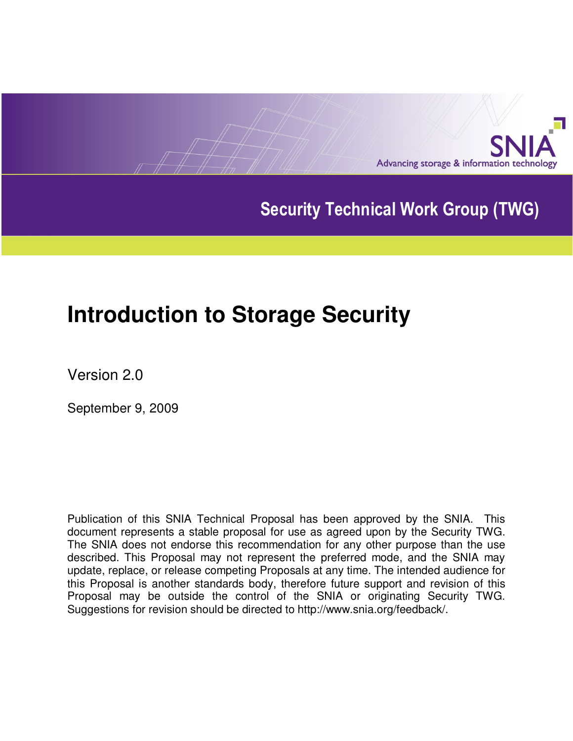

# **Security Technical Work Group (TWG)**

# **Introduction to Storage Security**

Version 2.0

September 9, 2009

Publication of this SNIA Technical Proposal has been approved by the SNIA. This document represents a stable proposal for use as agreed upon by the Security TWG. The SNIA does not endorse this recommendation for any other purpose than the use described. This Proposal may not represent the preferred mode, and the SNIA may update, replace, or release competing Proposals at any time. The intended audience for this Proposal is another standards body, therefore future support and revision of this Proposal may be outside the control of the SNIA or originating Security TWG. Suggestions for revision should be directed to http://www.snia.org/feedback/.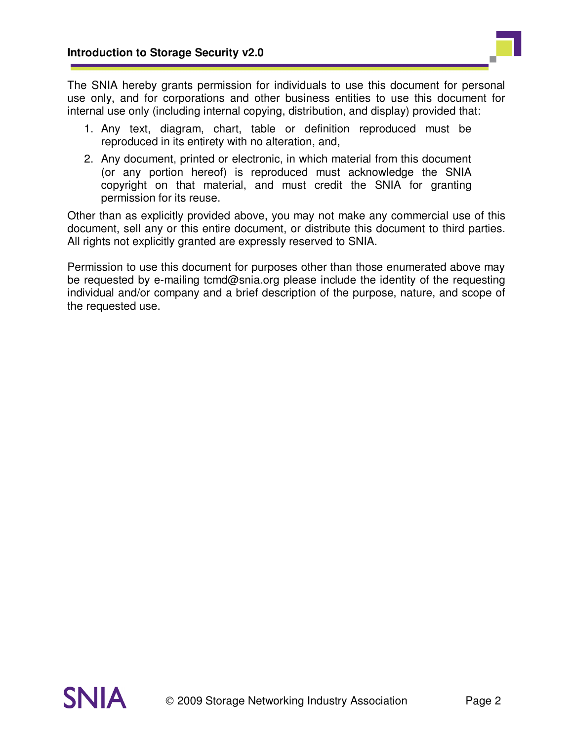

The SNIA hereby grants permission for individuals to use this document for personal use only, and for corporations and other business entities to use this document for internal use only (including internal copying, distribution, and display) provided that:

- 1. Any text, diagram, chart, table or definition reproduced must be reproduced in its entirety with no alteration, and,
- 2. Any document, printed or electronic, in which material from this document (or any portion hereof) is reproduced must acknowledge the SNIA copyright on that material, and must credit the SNIA for granting permission for its reuse.

Other than as explicitly provided above, you may not make any commercial use of this document, sell any or this entire document, or distribute this document to third parties. All rights not explicitly granted are expressly reserved to SNIA.

Permission to use this document for purposes other than those enumerated above may be requested by e-mailing tcmd@snia.org please include the identity of the requesting individual and/or company and a brief description of the purpose, nature, and scope of the requested use.

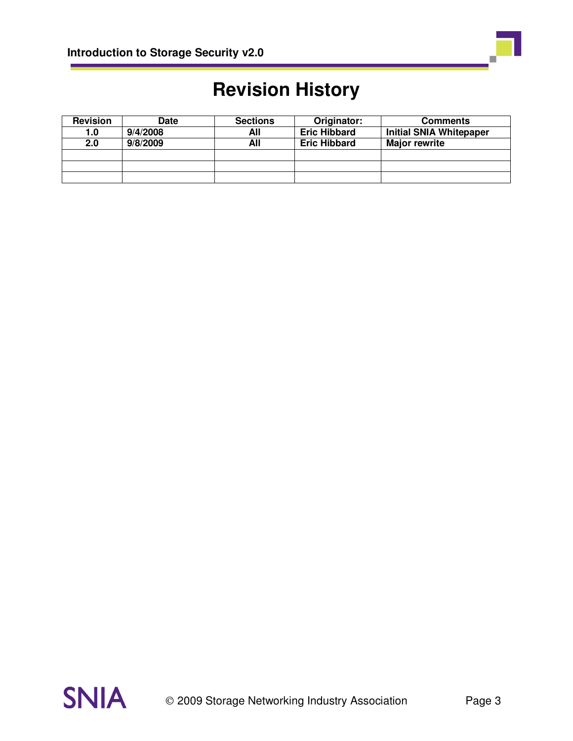

# **Revision History**

| <b>Revision</b> | Date     | <b>Sections</b> | Originator:         | <b>Comments</b>                |
|-----------------|----------|-----------------|---------------------|--------------------------------|
| 1.0             | 9/4/2008 | All             | <b>Eric Hibbard</b> | <b>Initial SNIA Whitepaper</b> |
| 2.0             | 9/8/2009 | All             | <b>Eric Hibbard</b> | <b>Major rewrite</b>           |
|                 |          |                 |                     |                                |
|                 |          |                 |                     |                                |
|                 |          |                 |                     |                                |

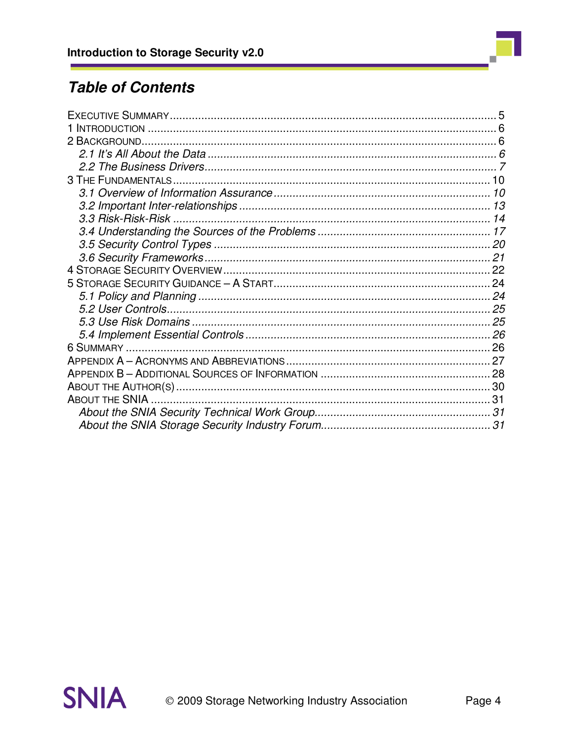

# **Table of Contents**

| 3.3 Risk-Risk-Risk. |  |
|---------------------|--|
|                     |  |
|                     |  |
|                     |  |
|                     |  |
|                     |  |
|                     |  |
|                     |  |
|                     |  |
|                     |  |
|                     |  |
|                     |  |
|                     |  |
|                     |  |
|                     |  |
|                     |  |
|                     |  |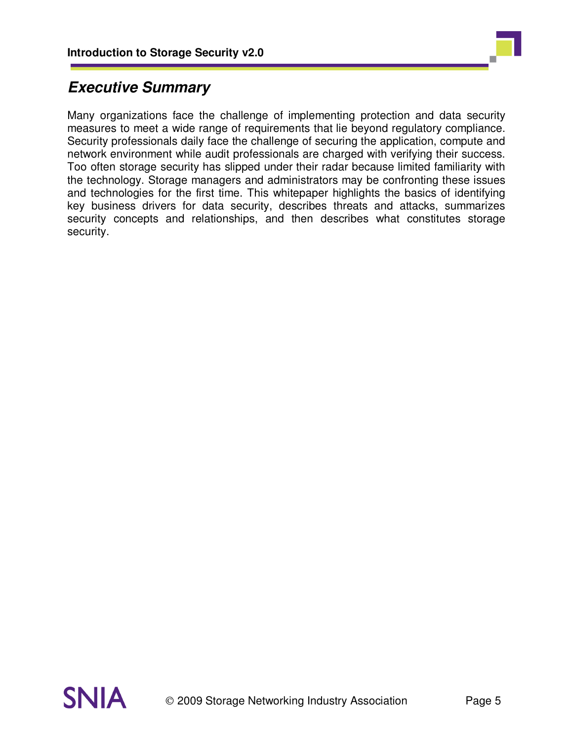

# **Executive Summary**

Many organizations face the challenge of implementing protection and data security measures to meet a wide range of requirements that lie beyond regulatory compliance. Security professionals daily face the challenge of securing the application, compute and network environment while audit professionals are charged with verifying their success. Too often storage security has slipped under their radar because limited familiarity with the technology. Storage managers and administrators may be confronting these issues and technologies for the first time. This whitepaper highlights the basics of identifying key business drivers for data security, describes threats and attacks, summarizes security concepts and relationships, and then describes what constitutes storage security.

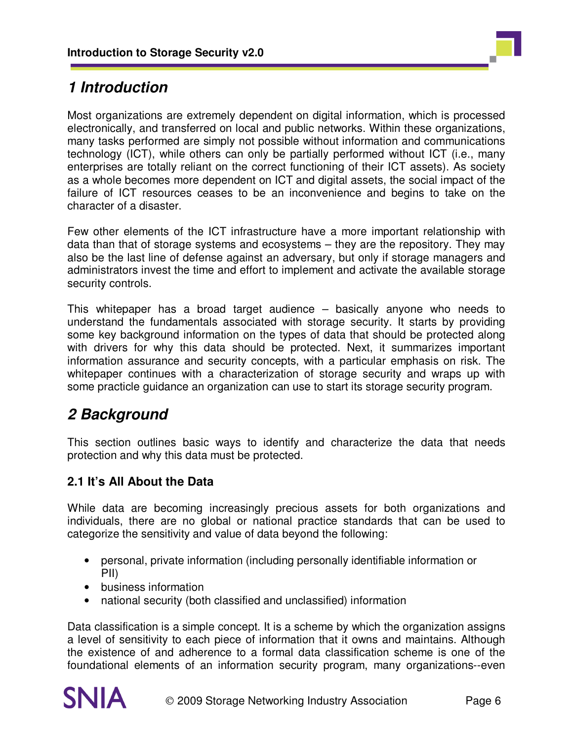

# **1 Introduction**

Most organizations are extremely dependent on digital information, which is processed electronically, and transferred on local and public networks. Within these organizations, many tasks performed are simply not possible without information and communications technology (ICT), while others can only be partially performed without ICT (i.e., many enterprises are totally reliant on the correct functioning of their ICT assets). As society as a whole becomes more dependent on ICT and digital assets, the social impact of the failure of ICT resources ceases to be an inconvenience and begins to take on the character of a disaster.

Few other elements of the ICT infrastructure have a more important relationship with data than that of storage systems and ecosystems – they are the repository. They may also be the last line of defense against an adversary, but only if storage managers and administrators invest the time and effort to implement and activate the available storage security controls.

This whitepaper has a broad target audience – basically anyone who needs to understand the fundamentals associated with storage security. It starts by providing some key background information on the types of data that should be protected along with drivers for why this data should be protected. Next, it summarizes important information assurance and security concepts, with a particular emphasis on risk. The whitepaper continues with a characterization of storage security and wraps up with some practicle guidance an organization can use to start its storage security program.

# **2 Background**

This section outlines basic ways to identify and characterize the data that needs protection and why this data must be protected.

### **2.1 It's All About the Data**

While data are becoming increasingly precious assets for both organizations and individuals, there are no global or national practice standards that can be used to categorize the sensitivity and value of data beyond the following:

- personal, private information (including personally identifiable information or PII)
- business information
- national security (both classified and unclassified) information

Data classification is a simple concept. It is a scheme by which the organization assigns a level of sensitivity to each piece of information that it owns and maintains. Although the existence of and adherence to a formal data classification scheme is one of the foundational elements of an information security program, many organizations--even

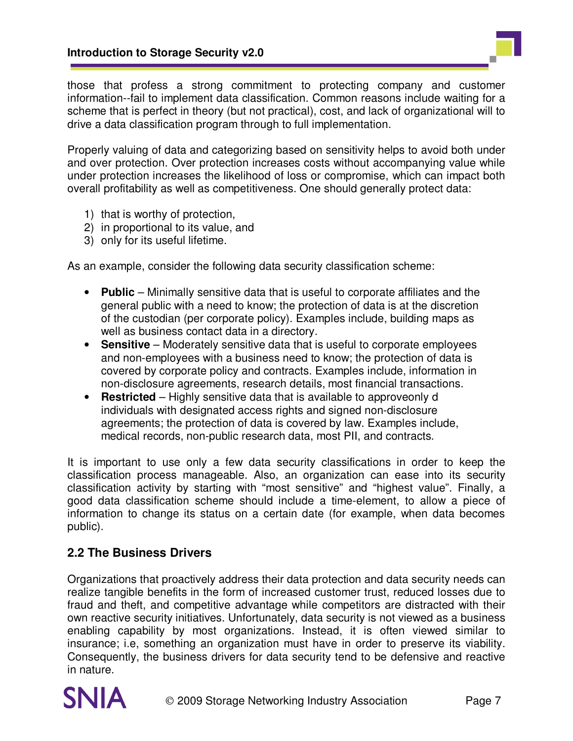

those that profess a strong commitment to protecting company and customer information--fail to implement data classification. Common reasons include waiting for a scheme that is perfect in theory (but not practical), cost, and lack of organizational will to drive a data classification program through to full implementation.

Properly valuing of data and categorizing based on sensitivity helps to avoid both under and over protection. Over protection increases costs without accompanying value while under protection increases the likelihood of loss or compromise, which can impact both overall profitability as well as competitiveness. One should generally protect data:

- 1) that is worthy of protection,
- 2) in proportional to its value, and
- 3) only for its useful lifetime.

As an example, consider the following data security classification scheme:

- **Public**  Minimally sensitive data that is useful to corporate affiliates and the general public with a need to know; the protection of data is at the discretion of the custodian (per corporate policy). Examples include, building maps as well as business contact data in a directory.
- **Sensitive** Moderately sensitive data that is useful to corporate employees and non-employees with a business need to know; the protection of data is covered by corporate policy and contracts. Examples include, information in non-disclosure agreements, research details, most financial transactions.
- **Restricted** Highly sensitive data that is available to approveonly d individuals with designated access rights and signed non-disclosure agreements; the protection of data is covered by law. Examples include, medical records, non-public research data, most PII, and contracts.

It is important to use only a few data security classifications in order to keep the classification process manageable. Also, an organization can ease into its security classification activity by starting with "most sensitive" and "highest value". Finally, a good data classification scheme should include a time-element, to allow a piece of information to change its status on a certain date (for example, when data becomes public).

### **2.2 The Business Drivers**

Organizations that proactively address their data protection and data security needs can realize tangible benefits in the form of increased customer trust, reduced losses due to fraud and theft, and competitive advantage while competitors are distracted with their own reactive security initiatives. Unfortunately, data security is not viewed as a business enabling capability by most organizations. Instead, it is often viewed similar to insurance; i.e, something an organization must have in order to preserve its viability. Consequently, the business drivers for data security tend to be defensive and reactive in nature.

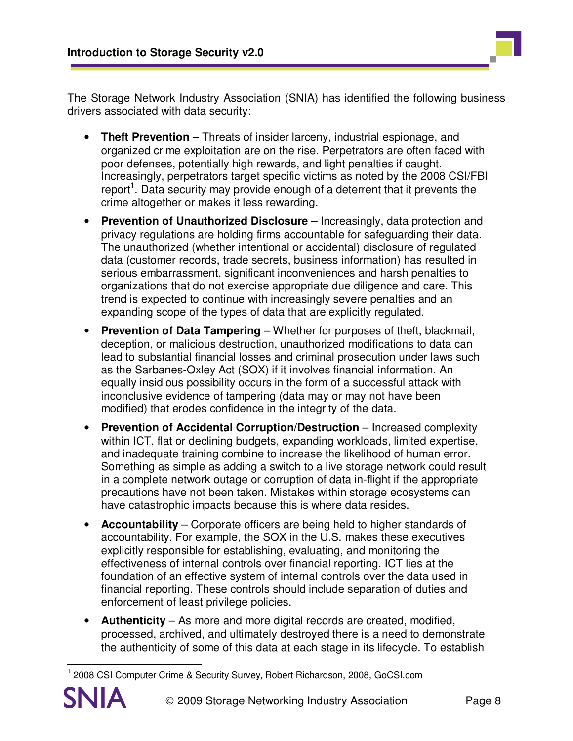The Storage Network Industry Association (SNIA) has identified the following business drivers associated with data security:

- **Theft Prevention** Threats of insider larceny, industrial espionage, and organized crime exploitation are on the rise. Perpetrators are often faced with poor defenses, potentially high rewards, and light penalties if caught. Increasingly, perpetrators target specific victims as noted by the 2008 CSI/FBI report<sup>1</sup>. Data security may provide enough of a deterrent that it prevents the crime altogether or makes it less rewarding.
- **Prevention of Unauthorized Disclosure** Increasingly, data protection and privacy regulations are holding firms accountable for safeguarding their data. The unauthorized (whether intentional or accidental) disclosure of regulated data (customer records, trade secrets, business information) has resulted in serious embarrassment, significant inconveniences and harsh penalties to organizations that do not exercise appropriate due diligence and care. This trend is expected to continue with increasingly severe penalties and an expanding scope of the types of data that are explicitly regulated.
- **Prevention of Data Tampering**  Whether for purposes of theft, blackmail, deception, or malicious destruction, unauthorized modifications to data can lead to substantial financial losses and criminal prosecution under laws such as the Sarbanes-Oxley Act (SOX) if it involves financial information. An equally insidious possibility occurs in the form of a successful attack with inconclusive evidence of tampering (data may or may not have been modified) that erodes confidence in the integrity of the data.
- **Prevention of Accidental Corruption/Destruction** Increased complexity within ICT, flat or declining budgets, expanding workloads, limited expertise, and inadequate training combine to increase the likelihood of human error. Something as simple as adding a switch to a live storage network could result in a complete network outage or corruption of data in-flight if the appropriate precautions have not been taken. Mistakes within storage ecosystems can have catastrophic impacts because this is where data resides.
- **Accountability** Corporate officers are being held to higher standards of accountability. For example, the SOX in the U.S. makes these executives explicitly responsible for establishing, evaluating, and monitoring the effectiveness of internal controls over financial reporting. ICT lies at the foundation of an effective system of internal controls over the data used in financial reporting. These controls should include separation of duties and enforcement of least privilege policies.
- **Authenticity** As more and more digital records are created, modified, processed, archived, and ultimately destroyed there is a need to demonstrate the authenticity of some of this data at each stage in its lifecycle. To establish

<sup>&</sup>lt;sup>1</sup> 2008 CSI Computer Crime & Security Survey, Robert Richardson, 2008, GoCSI.com

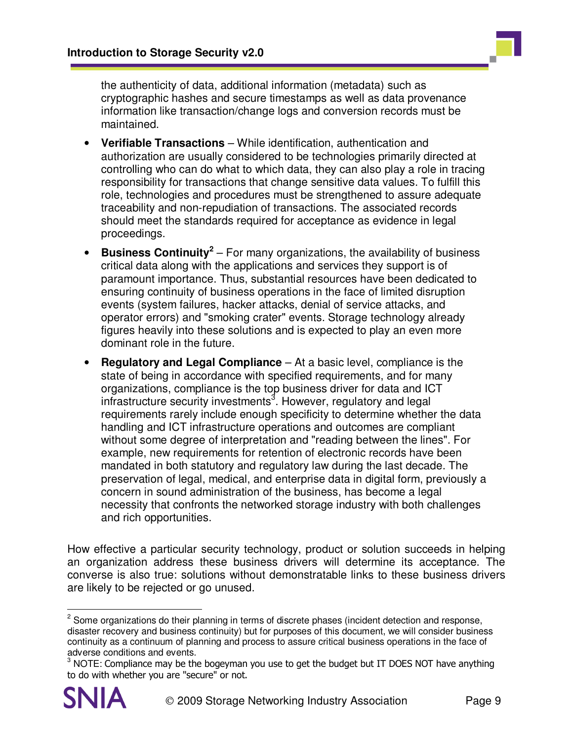

the authenticity of data, additional information (metadata) such as cryptographic hashes and secure timestamps as well as data provenance information like transaction/change logs and conversion records must be maintained.

- **Verifiable Transactions** While identification, authentication and authorization are usually considered to be technologies primarily directed at controlling who can do what to which data, they can also play a role in tracing responsibility for transactions that change sensitive data values. To fulfill this role, technologies and procedures must be strengthened to assure adequate traceability and non-repudiation of transactions. The associated records should meet the standards required for acceptance as evidence in legal proceedings.
- **Business Continuity<sup>2</sup>** For many organizations, the availability of business critical data along with the applications and services they support is of paramount importance. Thus, substantial resources have been dedicated to ensuring continuity of business operations in the face of limited disruption events (system failures, hacker attacks, denial of service attacks, and operator errors) and "smoking crater" events. Storage technology already figures heavily into these solutions and is expected to play an even more dominant role in the future.
- **Regulatory and Legal Compliance** At a basic level, compliance is the state of being in accordance with specified requirements, and for many organizations, compliance is the top business driver for data and ICT infrastructure security investments<sup>3</sup>. However, regulatory and legal requirements rarely include enough specificity to determine whether the data handling and ICT infrastructure operations and outcomes are compliant without some degree of interpretation and "reading between the lines". For example, new requirements for retention of electronic records have been mandated in both statutory and regulatory law during the last decade. The preservation of legal, medical, and enterprise data in digital form, previously a concern in sound administration of the business, has become a legal necessity that confronts the networked storage industry with both challenges and rich opportunities.

How effective a particular security technology, product or solution succeeds in helping an organization address these business drivers will determine its acceptance. The converse is also true: solutions without demonstratable links to these business drivers are likely to be rejected or go unused.

 $3$  NOTE: Compliance may be the bogeyman you use to get the budget but IT DOES NOT have anything to do with whether you are "secure" or not.



 $2$  Some organizations do their planning in terms of discrete phases (incident detection and response, disaster recovery and business continuity) but for purposes of this document, we will consider business continuity as a continuum of planning and process to assure critical business operations in the face of adverse conditions and events.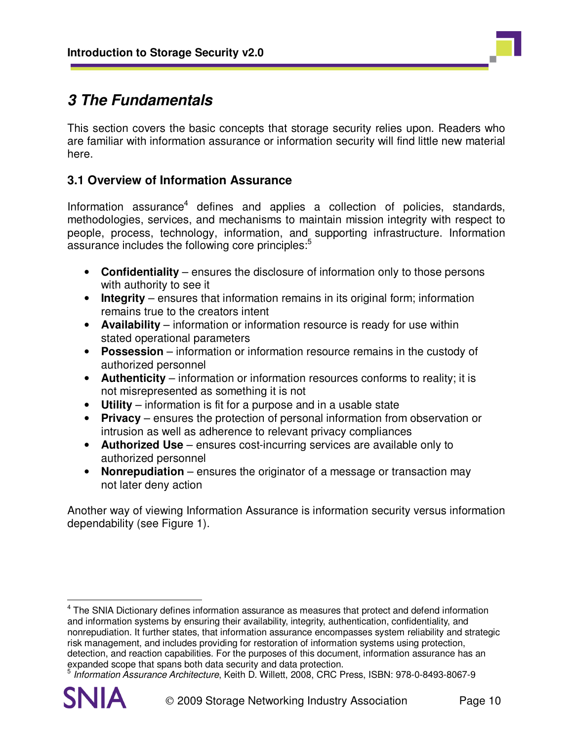

# **3 The Fundamentals**

This section covers the basic concepts that storage security relies upon. Readers who are familiar with information assurance or information security will find little new material here.

### **3.1 Overview of Information Assurance**

Information assurance<sup>4</sup> defines and applies a collection of policies, standards, methodologies, services, and mechanisms to maintain mission integrity with respect to people, process, technology, information, and supporting infrastructure. Information assurance includes the following core principles:<sup>5</sup>

- **Confidentiality** ensures the disclosure of information only to those persons with authority to see it
- **Integrity** ensures that information remains in its original form; information remains true to the creators intent
- **Availability** information or information resource is ready for use within stated operational parameters
- **Possession** information or information resource remains in the custody of authorized personnel
- **Authenticity** information or information resources conforms to reality; it is not misrepresented as something it is not
- **Utility** information is fit for a purpose and in a usable state
- **Privacy** ensures the protection of personal information from observation or intrusion as well as adherence to relevant privacy compliances
- **Authorized Use** ensures cost-incurring services are available only to authorized personnel
- **Nonrepudiation** ensures the originator of a message or transaction may not later deny action

Another way of viewing Information Assurance is information security versus information dependability (see Figure 1).

<sup>&</sup>lt;sup>5</sup> Information Assurance Architecture, Keith D. Willett, 2008, CRC Press, ISBN: 978-0-8493-8067-9



l.

<sup>&</sup>lt;sup>4</sup> The SNIA Dictionary defines information assurance as measures that protect and defend information and information systems by ensuring their availability, integrity, authentication, confidentiality, and nonrepudiation. It further states, that information assurance encompasses system reliability and strategic risk management, and includes providing for restoration of information systems using protection, detection, and reaction capabilities. For the purposes of this document, information assurance has an expanded scope that spans both data security and data protection.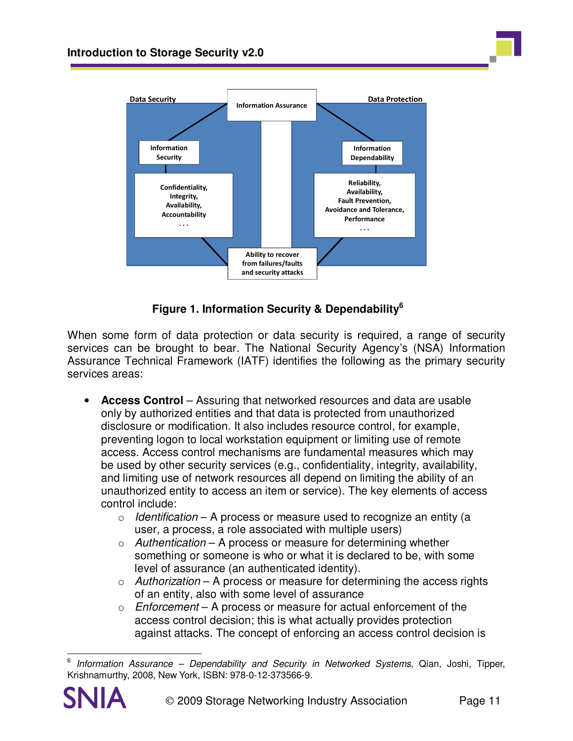

### **Figure 1. Information Security & Dependability<sup>6</sup>**

When some form of data protection or data security is required, a range of security services can be brought to bear. The National Security Agency's (NSA) Information Assurance Technical Framework (IATF) identifies the following as the primary security services areas:

- **Access Control** Assuring that networked resources and data are usable only by authorized entities and that data is protected from unauthorized disclosure or modification. It also includes resource control, for example, preventing logon to local workstation equipment or limiting use of remote access. Access control mechanisms are fundamental measures which may be used by other security services (e.g., confidentiality, integrity, availability, and limiting use of network resources all depend on limiting the ability of an unauthorized entity to access an item or service). The key elements of access control include:
	- $\circ$  Identification A process or measure used to recognize an entity (a user, a process, a role associated with multiple users)
	- $\circ$  Authentication A process or measure for determining whether something or someone is who or what it is declared to be, with some level of assurance (an authenticated identity).
	- $\circ$  Authorization A process or measure for determining the access rights of an entity, also with some level of assurance
	- $\circ$  Enforcement A process or measure for actual enforcement of the access control decision; this is what actually provides protection against attacks. The concept of enforcing an access control decision is

<sup>6</sup> Information Assurance – Dependability and Security in Networked Systems, Qian, Joshi, Tipper, Krishnamurthy, 2008, New York, ISBN: 978-0-12-373566-9.

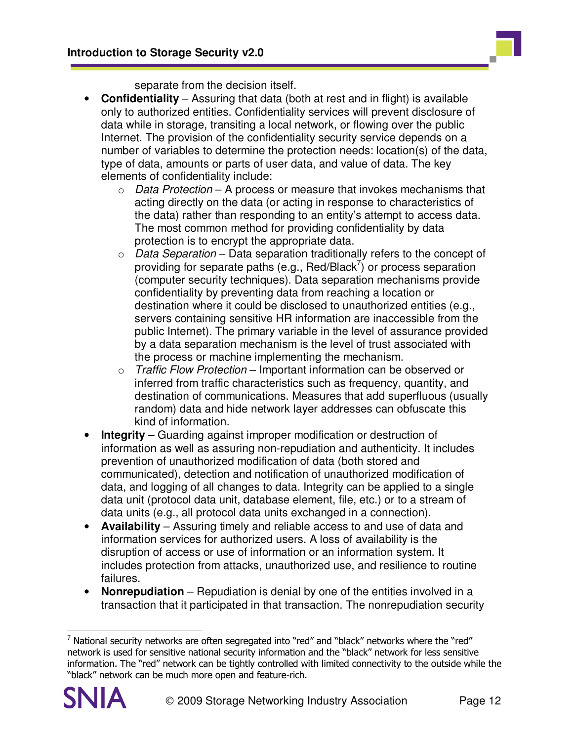

separate from the decision itself.

- **Confidentiality** Assuring that data (both at rest and in flight) is available only to authorized entities. Confidentiality services will prevent disclosure of data while in storage, transiting a local network, or flowing over the public Internet. The provision of the confidentiality security service depends on a number of variables to determine the protection needs: location(s) of the data, type of data, amounts or parts of user data, and value of data. The key elements of confidentiality include:
	- $\circ$  Data Protection A process or measure that invokes mechanisms that acting directly on the data (or acting in response to characteristics of the data) rather than responding to an entity's attempt to access data. The most common method for providing confidentiality by data protection is to encrypt the appropriate data.
	- $\circ$  Data Separation Data separation traditionally refers to the concept of providing for separate paths (e.g., Red/Black $\sqrt{'}$ ) or process separation (computer security techniques). Data separation mechanisms provide confidentiality by preventing data from reaching a location or destination where it could be disclosed to unauthorized entities (e.g., servers containing sensitive HR information are inaccessible from the public Internet). The primary variable in the level of assurance provided by a data separation mechanism is the level of trust associated with the process or machine implementing the mechanism.
	- $\circ$  Traffic Flow Protection Important information can be observed or inferred from traffic characteristics such as frequency, quantity, and destination of communications. Measures that add superfluous (usually random) data and hide network layer addresses can obfuscate this kind of information.
- **Integrity** Guarding against improper modification or destruction of information as well as assuring non-repudiation and authenticity. It includes prevention of unauthorized modification of data (both stored and communicated), detection and notification of unauthorized modification of data, and logging of all changes to data. Integrity can be applied to a single data unit (protocol data unit, database element, file, etc.) or to a stream of data units (e.g., all protocol data units exchanged in a connection).
- **Availability** Assuring timely and reliable access to and use of data and information services for authorized users. A loss of availability is the disruption of access or use of information or an information system. It includes protection from attacks, unauthorized use, and resilience to routine failures.
- **Nonrepudiation** Repudiation is denial by one of the entities involved in a transaction that it participated in that transaction. The nonrepudiation security

 $^7$  National security networks are often segregated into "red" and "black" networks where the "red" network is used for sensitive national security information and the "black" network for less sensitive information. The "red" network can be tightly controlled with limited connectivity to the outside while the "black" network can be much more open and feature-rich.

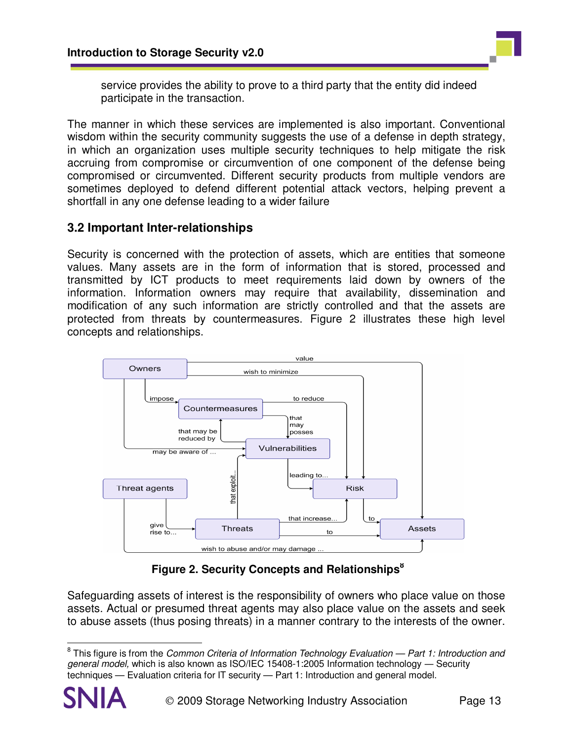

service provides the ability to prove to a third party that the entity did indeed participate in the transaction.

The manner in which these services are implemented is also important. Conventional wisdom within the security community suggests the use of a defense in depth strategy, in which an organization uses multiple security techniques to help mitigate the risk accruing from compromise or circumvention of one component of the defense being compromised or circumvented. Different security products from multiple vendors are sometimes deployed to defend different potential attack vectors, helping prevent a shortfall in any one defense leading to a wider failure

### **3.2 Important Inter-relationships**

Security is concerned with the protection of assets, which are entities that someone values. Many assets are in the form of information that is stored, processed and transmitted by ICT products to meet requirements laid down by owners of the information. Information owners may require that availability, dissemination and modification of any such information are strictly controlled and that the assets are protected from threats by countermeasures. Figure 2 illustrates these high level concepts and relationships.



**Figure 2. Security Concepts and Relationships<sup>8</sup>**

Safeguarding assets of interest is the responsibility of owners who place value on those assets. Actual or presumed threat agents may also place value on the assets and seek to abuse assets (thus posing threats) in a manner contrary to the interests of the owner.

<sup>&</sup>lt;sup>8</sup> This figure is from the Common Criteria of Information Technology Evaluation — Part 1: Introduction and general model, which is also known as ISO/IEC 15408-1:2005 Information technology ― Security techniques — Evaluation criteria for IT security — Part 1: Introduction and general model.

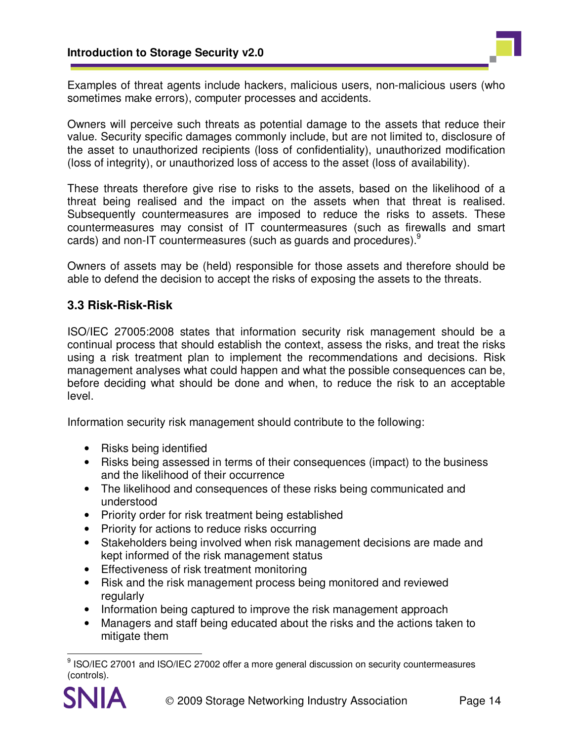

Examples of threat agents include hackers, malicious users, non-malicious users (who sometimes make errors), computer processes and accidents.

Owners will perceive such threats as potential damage to the assets that reduce their value. Security specific damages commonly include, but are not limited to, disclosure of the asset to unauthorized recipients (loss of confidentiality), unauthorized modification (loss of integrity), or unauthorized loss of access to the asset (loss of availability).

These threats therefore give rise to risks to the assets, based on the likelihood of a threat being realised and the impact on the assets when that threat is realised. Subsequently countermeasures are imposed to reduce the risks to assets. These countermeasures may consist of IT countermeasures (such as firewalls and smart cards) and non-IT countermeasures (such as guards and procedures).<sup>9</sup>

Owners of assets may be (held) responsible for those assets and therefore should be able to defend the decision to accept the risks of exposing the assets to the threats.

#### **3.3 Risk-Risk-Risk**

ISO/IEC 27005:2008 states that information security risk management should be a continual process that should establish the context, assess the risks, and treat the risks using a risk treatment plan to implement the recommendations and decisions. Risk management analyses what could happen and what the possible consequences can be, before deciding what should be done and when, to reduce the risk to an acceptable level.

Information security risk management should contribute to the following:

- Risks being identified
- Risks being assessed in terms of their consequences (impact) to the business and the likelihood of their occurrence
- The likelihood and consequences of these risks being communicated and understood
- Priority order for risk treatment being established
- Priority for actions to reduce risks occurring
- Stakeholders being involved when risk management decisions are made and kept informed of the risk management status
- Effectiveness of risk treatment monitoring
- Risk and the risk management process being monitored and reviewed regularly
- Information being captured to improve the risk management approach
- Managers and staff being educated about the risks and the actions taken to mitigate them

<sup>&</sup>lt;sup>9</sup> ISO/IEC 27001 and ISO/IEC 27002 offer a more general discussion on security countermeasures (controls).

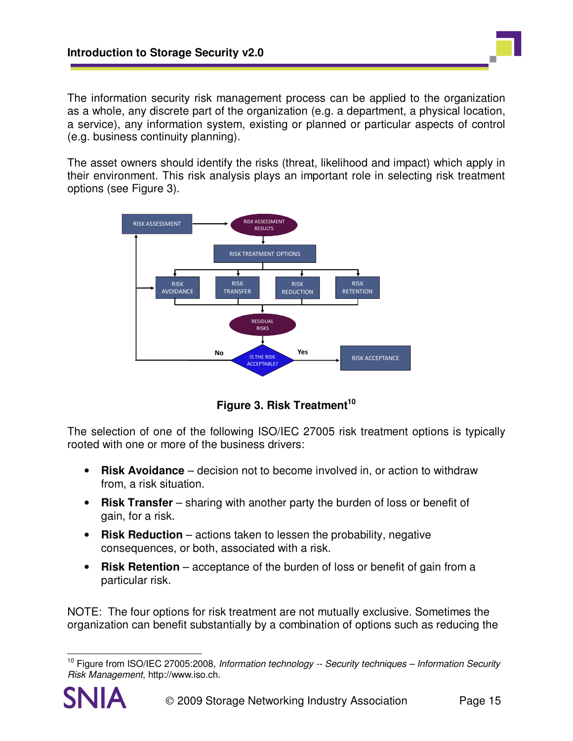The information security risk management process can be applied to the organization as a whole, any discrete part of the organization (e.g. a department, a physical location, a service), any information system, existing or planned or particular aspects of control (e.g. business continuity planning).

The asset owners should identify the risks (threat, likelihood and impact) which apply in their environment. This risk analysis plays an important role in selecting risk treatment options (see Figure 3).



**Figure 3. Risk Treatment<sup>10</sup>**

The selection of one of the following ISO/IEC 27005 risk treatment options is typically rooted with one or more of the business drivers:

- **Risk Avoidance** decision not to become involved in, or action to withdraw from, a risk situation.
- **Risk Transfer** sharing with another party the burden of loss or benefit of gain, for a risk.
- **Risk Reduction** actions taken to lessen the probability, negative consequences, or both, associated with a risk.
- **Risk Retention** acceptance of the burden of loss or benefit of gain from a particular risk.

NOTE: The four options for risk treatment are not mutually exclusive. Sometimes the organization can benefit substantially by a combination of options such as reducing the

<sup>&</sup>lt;sup>10</sup> Figure from ISO/IEC 27005:2008, Information technology -- Security techniques – Information Security Risk Management, http://www.iso.ch.

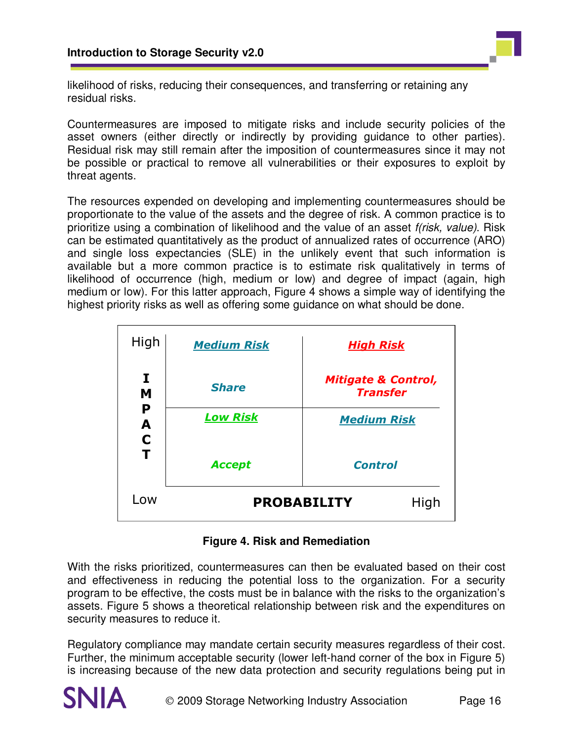

likelihood of risks, reducing their consequences, and transferring or retaining any residual risks.

Countermeasures are imposed to mitigate risks and include security policies of the asset owners (either directly or indirectly by providing guidance to other parties). Residual risk may still remain after the imposition of countermeasures since it may not be possible or practical to remove all vulnerabilities or their exposures to exploit by threat agents.

The resources expended on developing and implementing countermeasures should be proportionate to the value of the assets and the degree of risk. A common practice is to prioritize using a combination of likelihood and the value of an asset f(risk, value). Risk can be estimated quantitatively as the product of annualized rates of occurrence (ARO) and single loss expectancies (SLE) in the unlikely event that such information is available but a more common practice is to estimate risk qualitatively in terms of likelihood of occurrence (high, medium or low) and degree of impact (again, high medium or low). For this latter approach, Figure 4 shows a simple way of identifying the highest priority risks as well as offering some guidance on what should be done.

| High             | <b>Medium Risk</b> | <u>High Risk</u>   |                                                   |
|------------------|--------------------|--------------------|---------------------------------------------------|
| I<br>M           | <b>Share</b>       |                    | <b>Mitigate &amp; Control,</b><br><b>Transfer</b> |
| P<br>A           | <b>Low Risk</b>    | <b>Medium Risk</b> |                                                   |
| $\mathbf C$<br>T | <b>Accept</b>      | <b>Control</b>     |                                                   |
| Low              |                    | <b>PROBABILITY</b> | High                                              |

**Figure 4. Risk and Remediation** 

With the risks prioritized, countermeasures can then be evaluated based on their cost and effectiveness in reducing the potential loss to the organization. For a security program to be effective, the costs must be in balance with the risks to the organization's assets. Figure 5 shows a theoretical relationship between risk and the expenditures on security measures to reduce it.

Regulatory compliance may mandate certain security measures regardless of their cost. Further, the minimum acceptable security (lower left-hand corner of the box in Figure 5) is increasing because of the new data protection and security regulations being put in

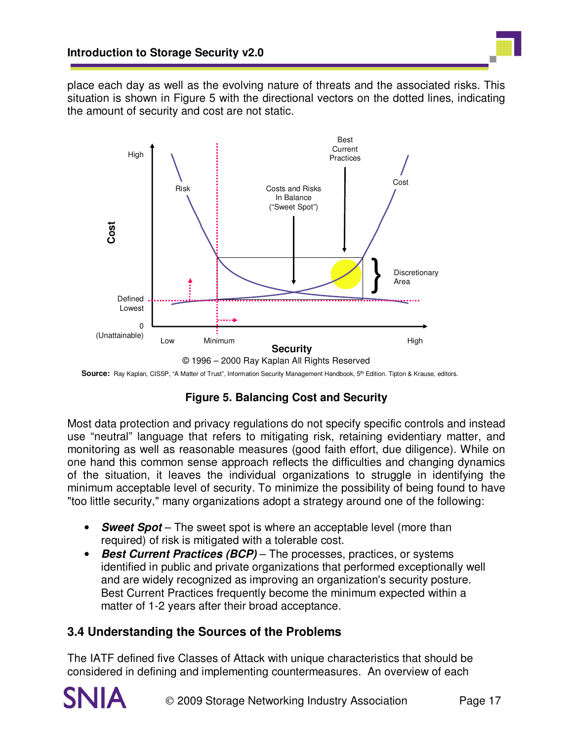place each day as well as the evolving nature of threats and the associated risks. This situation is shown in Figure 5 with the directional vectors on the dotted lines, indicating the amount of security and cost are not static.



Source: Ray Kaplan, CISSP, "A Matter of Trust", Information Security Management Handbook, 5<sup>th</sup> Edition. Tipton & Krause, editors.

#### **Figure 5. Balancing Cost and Security**

Most data protection and privacy regulations do not specify specific controls and instead use "neutral" language that refers to mitigating risk, retaining evidentiary matter, and monitoring as well as reasonable measures (good faith effort, due diligence). While on one hand this common sense approach reflects the difficulties and changing dynamics of the situation, it leaves the individual organizations to struggle in identifying the minimum acceptable level of security. To minimize the possibility of being found to have "too little security," many organizations adopt a strategy around one of the following:

- **Sweet Spot** The sweet spot is where an acceptable level (more than required) of risk is mitigated with a tolerable cost.
- **Best Current Practices (BCP)** The processes, practices, or systems identified in public and private organizations that performed exceptionally well and are widely recognized as improving an organization's security posture. Best Current Practices frequently become the minimum expected within a matter of 1-2 years after their broad acceptance.

#### **3.4 Understanding the Sources of the Problems**

The IATF defined five Classes of Attack with unique characteristics that should be considered in defining and implementing countermeasures. An overview of each

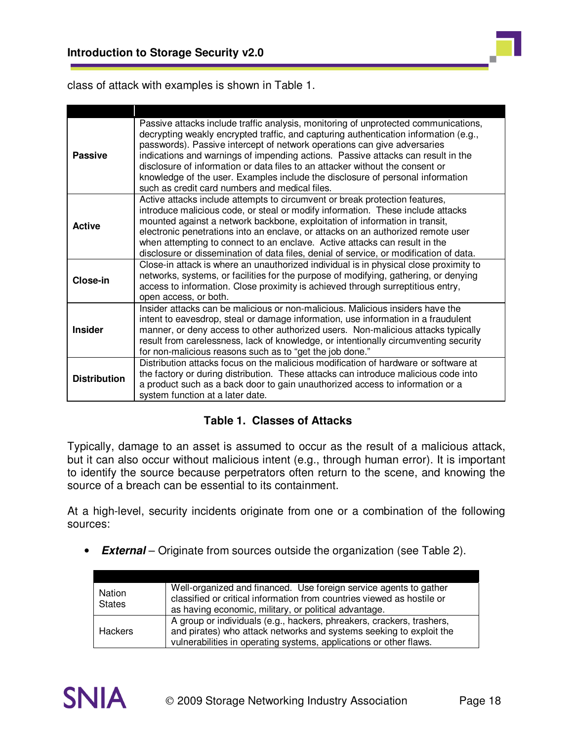

class of attack with examples is shown in Table 1.

| <b>Passive</b>      | Passive attacks include traffic analysis, monitoring of unprotected communications,<br>decrypting weakly encrypted traffic, and capturing authentication information (e.g.,<br>passwords). Passive intercept of network operations can give adversaries<br>indications and warnings of impending actions. Passive attacks can result in the<br>disclosure of information or data files to an attacker without the consent or<br>knowledge of the user. Examples include the disclosure of personal information<br>such as credit card numbers and medical files. |
|---------------------|------------------------------------------------------------------------------------------------------------------------------------------------------------------------------------------------------------------------------------------------------------------------------------------------------------------------------------------------------------------------------------------------------------------------------------------------------------------------------------------------------------------------------------------------------------------|
| <b>Active</b>       | Active attacks include attempts to circumvent or break protection features,<br>introduce malicious code, or steal or modify information. These include attacks<br>mounted against a network backbone, exploitation of information in transit,<br>electronic penetrations into an enclave, or attacks on an authorized remote user<br>when attempting to connect to an enclave. Active attacks can result in the<br>disclosure or dissemination of data files, denial of service, or modification of data.                                                        |
| Close-in            | Close-in attack is where an unauthorized individual is in physical close proximity to<br>networks, systems, or facilities for the purpose of modifying, gathering, or denying<br>access to information. Close proximity is achieved through surreptitious entry,<br>open access, or both.                                                                                                                                                                                                                                                                        |
| <b>Insider</b>      | Insider attacks can be malicious or non-malicious. Malicious insiders have the<br>intent to eavesdrop, steal or damage information, use information in a fraudulent<br>manner, or deny access to other authorized users. Non-malicious attacks typically<br>result from carelessness, lack of knowledge, or intentionally circumventing security<br>for non-malicious reasons such as to "get the job done."                                                                                                                                                     |
| <b>Distribution</b> | Distribution attacks focus on the malicious modification of hardware or software at<br>the factory or during distribution. These attacks can introduce malicious code into<br>a product such as a back door to gain unauthorized access to information or a<br>system function at a later date.                                                                                                                                                                                                                                                                  |

#### **Table 1. Classes of Attacks**

Typically, damage to an asset is assumed to occur as the result of a malicious attack, but it can also occur without malicious intent (e.g., through human error). It is important to identify the source because perpetrators often return to the scene, and knowing the source of a breach can be essential to its containment.

At a high-level, security incidents originate from one or a combination of the following sources:

• **External** – Originate from sources outside the organization (see Table 2).

| Nation<br><b>States</b> | Well-organized and financed. Use foreign service agents to gather<br>classified or critical information from countries viewed as hostile or                                                                        |
|-------------------------|--------------------------------------------------------------------------------------------------------------------------------------------------------------------------------------------------------------------|
|                         | as having economic, military, or political advantage.                                                                                                                                                              |
| Hackers                 | A group or individuals (e.g., hackers, phreakers, crackers, trashers,<br>and pirates) who attack networks and systems seeking to exploit the<br>vulnerabilities in operating systems, applications or other flaws. |

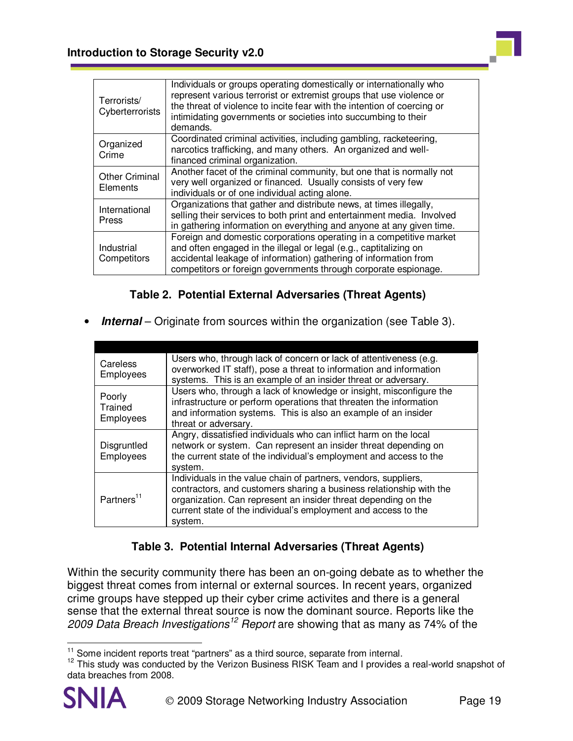

| Terrorists/<br>Cyberterrorists    | Individuals or groups operating domestically or internationally who<br>represent various terrorist or extremist groups that use violence or<br>the threat of violence to incite fear with the intention of coercing or<br>intimidating governments or societies into succumbing to their<br>demands. |  |
|-----------------------------------|------------------------------------------------------------------------------------------------------------------------------------------------------------------------------------------------------------------------------------------------------------------------------------------------------|--|
| Organized<br>Crime                | Coordinated criminal activities, including gambling, racketeering,<br>narcotics trafficking, and many others. An organized and well-<br>financed criminal organization.                                                                                                                              |  |
| <b>Other Criminal</b><br>Elements | Another facet of the criminal community, but one that is normally not<br>very well organized or financed. Usually consists of very few<br>individuals or of one individual acting alone.                                                                                                             |  |
| International<br>Press            | Organizations that gather and distribute news, at times illegally,<br>selling their services to both print and entertainment media. Involved<br>in gathering information on everything and anyone at any given time.                                                                                 |  |
| Industrial<br>Competitors         | Foreign and domestic corporations operating in a competitive market<br>and often engaged in the illegal or legal (e.g., captitalizing on<br>accidental leakage of information) gathering of information from<br>competitors or foreign governments through corporate espionage.                      |  |

### **Table 2. Potential External Adversaries (Threat Agents)**

**Internal** – Originate from sources within the organization (see Table 3).

| Careless<br><b>Employees</b>   | Users who, through lack of concern or lack of attentiveness (e.g.   |
|--------------------------------|---------------------------------------------------------------------|
|                                | overworked IT staff), pose a threat to information and information  |
|                                | systems. This is an example of an insider threat or adversary.      |
| Poorly<br>Trained<br>Employees | Users who, through a lack of knowledge or insight, misconfigure the |
|                                | infrastructure or perform operations that threaten the information  |
|                                | and information systems. This is also an example of an insider      |
|                                | threat or adversary.                                                |
| Disgruntled<br>Employees       | Angry, dissatisfied individuals who can inflict harm on the local   |
|                                | network or system. Can represent an insider threat depending on     |
|                                | the current state of the individual's employment and access to the  |
|                                | system.                                                             |
| Partners <sup>11</sup>         | Individuals in the value chain of partners, vendors, suppliers,     |
|                                | contractors, and customers sharing a business relationship with the |
|                                | organization. Can represent an insider threat depending on the      |
|                                | current state of the individual's employment and access to the      |
|                                | system.                                                             |

#### **Table 3. Potential Internal Adversaries (Threat Agents)**

Within the security community there has been an on-going debate as to whether the biggest threat comes from internal or external sources. In recent years, organized crime groups have stepped up their cyber crime activites and there is a general sense that the external threat source is now the dominant source. Reports like the 2009 Data Breach Investigations<sup>12</sup> Report are showing that as many as 74% of the

 $12$  This study was conducted by the Verizon Business RISK Team and I provides a real-world snapshot of data breaches from 2008.



 $\frac{11}{12}$  Some incident reports treat "partners" as a third source, separate from internal.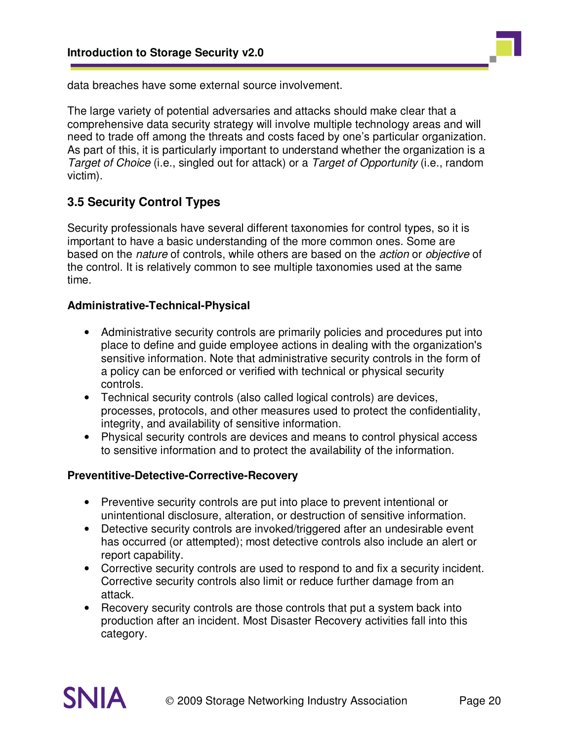

data breaches have some external source involvement.

The large variety of potential adversaries and attacks should make clear that a comprehensive data security strategy will involve multiple technology areas and will need to trade off among the threats and costs faced by one's particular organization. As part of this, it is particularly important to understand whether the organization is a Target of Choice (i.e., singled out for attack) or a Target of Opportunity (i.e., random victim).

### **3.5 Security Control Types**

Security professionals have several different taxonomies for control types, so it is important to have a basic understanding of the more common ones. Some are based on the nature of controls, while others are based on the action or objective of the control. It is relatively common to see multiple taxonomies used at the same time.

#### **Administrative-Technical-Physical**

- Administrative security controls are primarily policies and procedures put into place to define and guide employee actions in dealing with the organization's sensitive information. Note that administrative security controls in the form of a policy can be enforced or verified with technical or physical security controls.
- Technical security controls (also called logical controls) are devices, processes, protocols, and other measures used to protect the confidentiality, integrity, and availability of sensitive information.
- Physical security controls are devices and means to control physical access to sensitive information and to protect the availability of the information.

#### **Preventitive-Detective-Corrective-Recovery**

- Preventive security controls are put into place to prevent intentional or unintentional disclosure, alteration, or destruction of sensitive information.
- Detective security controls are invoked/triggered after an undesirable event has occurred (or attempted); most detective controls also include an alert or report capability.
- Corrective security controls are used to respond to and fix a security incident. Corrective security controls also limit or reduce further damage from an attack.
- Recovery security controls are those controls that put a system back into production after an incident. Most Disaster Recovery activities fall into this category.

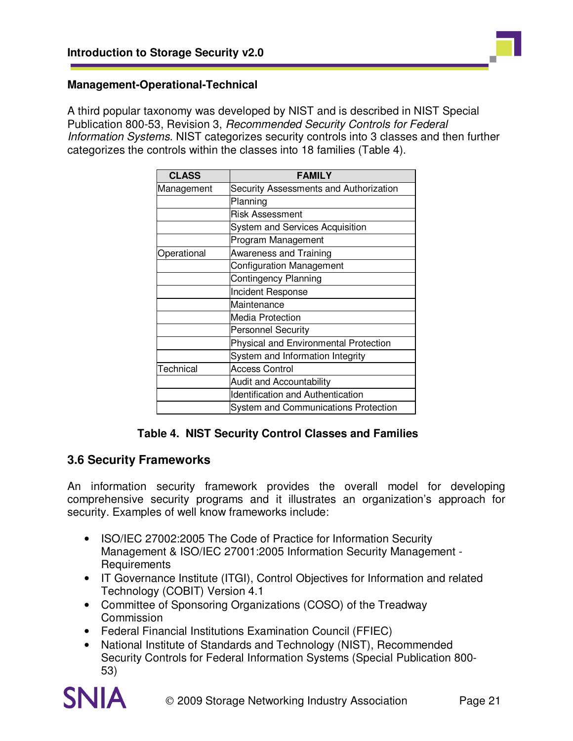

#### **Management-Operational-Technical**

A third popular taxonomy was developed by NIST and is described in NIST Special Publication 800-53, Revision 3, Recommended Security Controls for Federal Information Systems. NIST categorizes security controls into 3 classes and then further categorizes the controls within the classes into 18 families (Table 4).

| <b>CLASS</b>     | <b>FAMILY</b>                               |
|------------------|---------------------------------------------|
| Management       | Security Assessments and Authorization      |
|                  | Planning                                    |
|                  | <b>Risk Assessment</b>                      |
|                  | System and Services Acquisition             |
|                  | Program Management                          |
| Operational      | Awareness and Training                      |
|                  | <b>Configuration Management</b>             |
|                  | <b>Contingency Planning</b>                 |
|                  | <b>Incident Response</b>                    |
|                  | Maintenance                                 |
|                  | <b>Media Protection</b>                     |
|                  | <b>Personnel Security</b>                   |
|                  | Physical and Environmental Protection       |
|                  | System and Information Integrity            |
| <b>Technical</b> | <b>Access Control</b>                       |
|                  | <b>Audit and Accountability</b>             |
|                  | <b>Identification and Authentication</b>    |
|                  | <b>System and Communications Protection</b> |

#### **Table 4. NIST Security Control Classes and Families**

#### **3.6 Security Frameworks**

An information security framework provides the overall model for developing comprehensive security programs and it illustrates an organization's approach for security. Examples of well know frameworks include:

- ISO/IEC 27002:2005 The Code of Practice for Information Security Management & ISO/IEC 27001:2005 Information Security Management - **Requirements**
- IT Governance Institute (ITGI), Control Objectives for Information and related Technology (COBIT) Version 4.1
- Committee of Sponsoring Organizations (COSO) of the Treadway **Commission**
- Federal Financial Institutions Examination Council (FFIEC)
- National Institute of Standards and Technology (NIST), Recommended Security Controls for Federal Information Systems (Special Publication 800- 53)



2009 Storage Networking Industry Association Page 21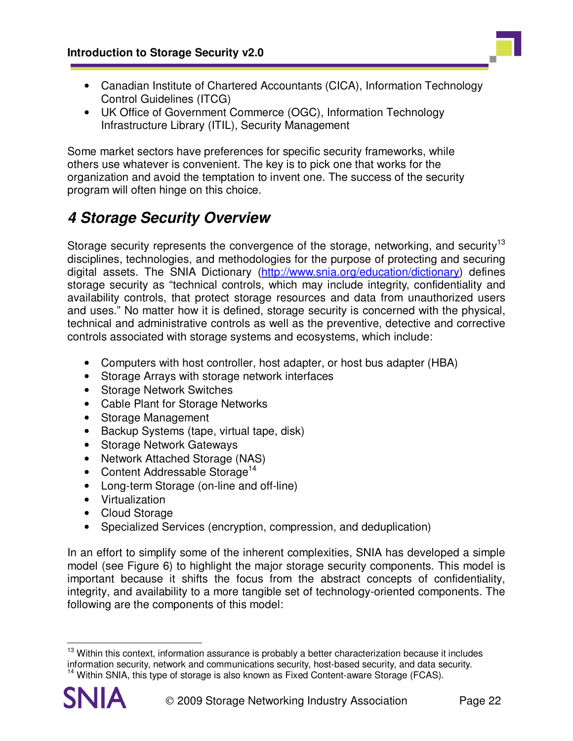

- Canadian Institute of Chartered Accountants (CICA), Information Technology Control Guidelines (ITCG)
- UK Office of Government Commerce (OGC), Information Technology Infrastructure Library (ITIL), Security Management

Some market sectors have preferences for specific security frameworks, while others use whatever is convenient. The key is to pick one that works for the organization and avoid the temptation to invent one. The success of the security program will often hinge on this choice.

# **4 Storage Security Overview**

Storage security represents the convergence of the storage, networking, and security<sup>13</sup> disciplines, technologies, and methodologies for the purpose of protecting and securing digital assets. The SNIA Dictionary (http://www.snia.org/education/dictionary) defines storage security as "technical controls, which may include integrity, confidentiality and availability controls, that protect storage resources and data from unauthorized users and uses." No matter how it is defined, storage security is concerned with the physical, technical and administrative controls as well as the preventive, detective and corrective controls associated with storage systems and ecosystems, which include:

- Computers with host controller, host adapter, or host bus adapter (HBA)
- Storage Arrays with storage network interfaces
- Storage Network Switches
- Cable Plant for Storage Networks
- Storage Management
- Backup Systems (tape, virtual tape, disk)
- Storage Network Gateways
- Network Attached Storage (NAS)
- Content Addressable Storage<sup>14</sup>
- Long-term Storage (on-line and off-line)
- Virtualization
- Cloud Storage
- Specialized Services (encryption, compression, and deduplication)

In an effort to simplify some of the inherent complexities, SNIA has developed a simple model (see Figure 6) to highlight the major storage security components. This model is important because it shifts the focus from the abstract concepts of confidentiality, integrity, and availability to a more tangible set of technology-oriented components. The following are the components of this model:

<sup>&</sup>lt;sup>13</sup> Within this context, information assurance is probably a better characterization because it includes information security, network and communications security, host-based security, and data security. <sup>14</sup> Within SNIA, this type of storage is also known as Fixed Content-aware Storage (FCAS).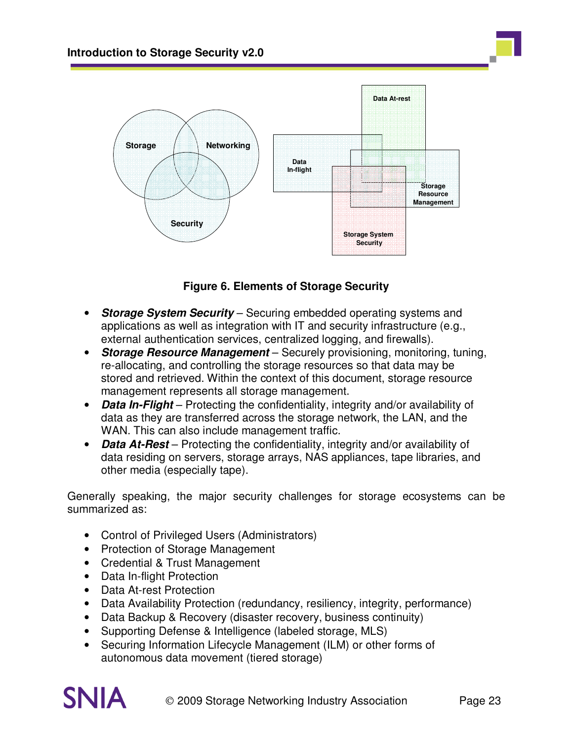

#### **Figure 6. Elements of Storage Security**

- **Storage System Security** Securing embedded operating systems and applications as well as integration with IT and security infrastructure (e.g., external authentication services, centralized logging, and firewalls).
- **Storage Resource Management** Securely provisioning, monitoring, tuning, re-allocating, and controlling the storage resources so that data may be stored and retrieved. Within the context of this document, storage resource management represents all storage management.
- **Data In-Flight** Protecting the confidentiality, integrity and/or availability of data as they are transferred across the storage network, the LAN, and the WAN. This can also include management traffic.
- **Data At-Rest** Protecting the confidentiality, integrity and/or availability of data residing on servers, storage arrays, NAS appliances, tape libraries, and other media (especially tape).

Generally speaking, the major security challenges for storage ecosystems can be summarized as:

- Control of Privileged Users (Administrators)
- Protection of Storage Management
- Credential & Trust Management
- Data In-flight Protection
- Data At-rest Protection
- Data Availability Protection (redundancy, resiliency, integrity, performance)
- Data Backup & Recovery (disaster recovery, business continuity)
- Supporting Defense & Intelligence (labeled storage, MLS)
- Securing Information Lifecycle Management (ILM) or other forms of autonomous data movement (tiered storage)



2009 Storage Networking Industry Association Page 23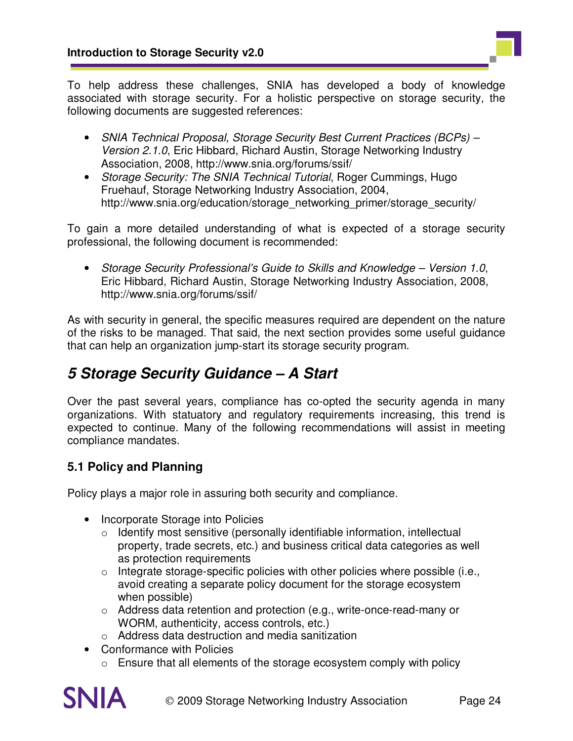

To help address these challenges, SNIA has developed a body of knowledge associated with storage security. For a holistic perspective on storage security, the following documents are suggested references:

- SNIA Technical Proposal, Storage Security Best Current Practices (BCPs) Version 2.1.0, Eric Hibbard, Richard Austin, Storage Networking Industry Association, 2008, http://www.snia.org/forums/ssif/
- Storage Security: The SNIA Technical Tutorial, Roger Cummings, Hugo Fruehauf, Storage Networking Industry Association, 2004, http://www.snia.org/education/storage\_networking\_primer/storage\_security/

To gain a more detailed understanding of what is expected of a storage security professional, the following document is recommended:

• Storage Security Professional's Guide to Skills and Knowledge – Version 1.0, Eric Hibbard, Richard Austin, Storage Networking Industry Association, 2008, http://www.snia.org/forums/ssif/

As with security in general, the specific measures required are dependent on the nature of the risks to be managed. That said, the next section provides some useful guidance that can help an organization jump-start its storage security program.

# **5 Storage Security Guidance – A Start**

Over the past several years, compliance has co-opted the security agenda in many organizations. With statuatory and regulatory requirements increasing, this trend is expected to continue. Many of the following recommendations will assist in meeting compliance mandates.

## **5.1 Policy and Planning**

Policy plays a major role in assuring both security and compliance.

- Incorporate Storage into Policies
	- o Identify most sensitive (personally identifiable information, intellectual property, trade secrets, etc.) and business critical data categories as well as protection requirements
	- $\circ$  Integrate storage-specific policies with other policies where possible (i.e., avoid creating a separate policy document for the storage ecosystem when possible)
	- o Address data retention and protection (e.g., write-once-read-many or WORM, authenticity, access controls, etc.)
	- o Address data destruction and media sanitization
- Conformance with Policies
	- $\circ$  Ensure that all elements of the storage ecosystem comply with policy



2009 Storage Networking Industry Association Page 24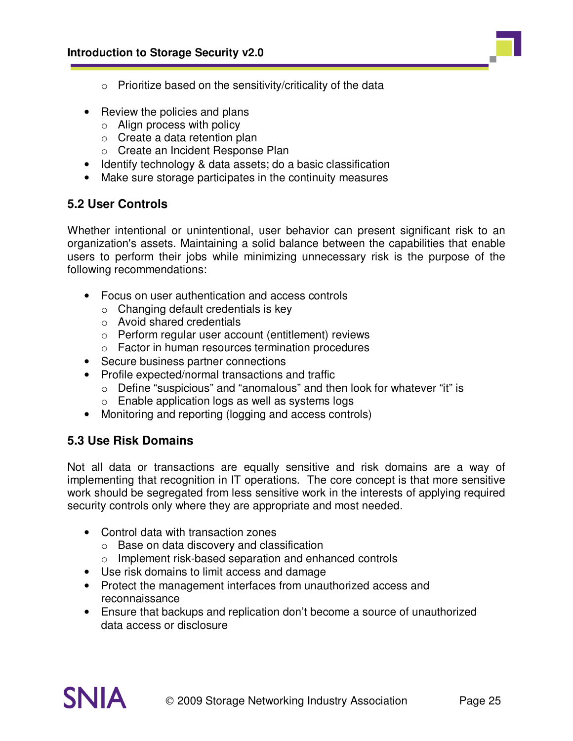

- Review the policies and plans
	- o Align process with policy
	- $\circ$  Create a data retention plan
	- o Create an Incident Response Plan
- Identify technology & data assets; do a basic classification
- Make sure storage participates in the continuity measures

### **5.2 User Controls**

Whether intentional or unintentional, user behavior can present significant risk to an organization's assets. Maintaining a solid balance between the capabilities that enable users to perform their jobs while minimizing unnecessary risk is the purpose of the following recommendations:

- Focus on user authentication and access controls
	- $\circ$  Changing default credentials is key
	- o Avoid shared credentials
	- o Perform regular user account (entitlement) reviews
	- o Factor in human resources termination procedures
- Secure business partner connections
- Profile expected/normal transactions and traffic
	- o Define "suspicious" and "anomalous" and then look for whatever "it" is
	- $\circ$  Enable application logs as well as systems logs
- Monitoring and reporting (logging and access controls)

### **5.3 Use Risk Domains**

Not all data or transactions are equally sensitive and risk domains are a way of implementing that recognition in IT operations. The core concept is that more sensitive work should be segregated from less sensitive work in the interests of applying required security controls only where they are appropriate and most needed.

- Control data with transaction zones
	- o Base on data discovery and classification
	- o Implement risk-based separation and enhanced controls
- Use risk domains to limit access and damage
- Protect the management interfaces from unauthorized access and reconnaissance
- Ensure that backups and replication don't become a source of unauthorized data access or disclosure

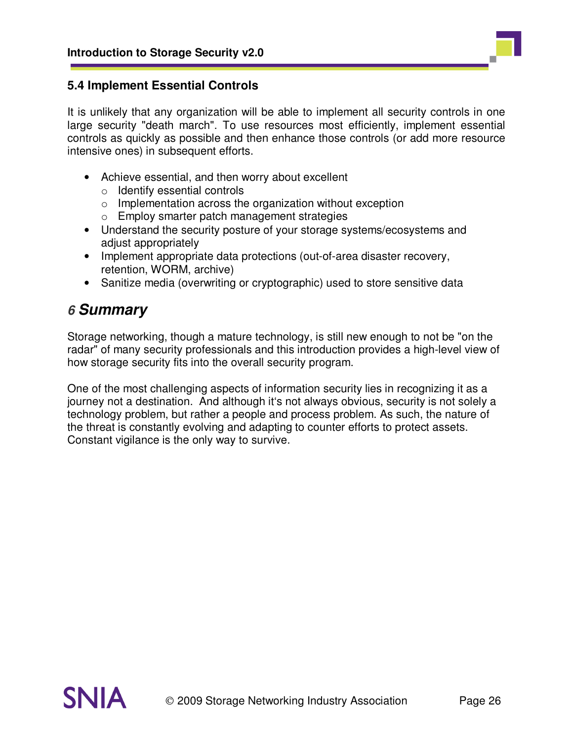

#### **5.4 Implement Essential Controls**

It is unlikely that any organization will be able to implement all security controls in one large security "death march". To use resources most efficiently, implement essential controls as quickly as possible and then enhance those controls (or add more resource intensive ones) in subsequent efforts.

- Achieve essential, and then worry about excellent
	- o Identify essential controls
	- $\circ$  Implementation across the organization without exception
	- o Employ smarter patch management strategies
- Understand the security posture of your storage systems/ecosystems and adjust appropriately
- Implement appropriate data protections (out-of-area disaster recovery, retention, WORM, archive)
- Sanitize media (overwriting or cryptographic) used to store sensitive data

## **6 Summary**

Storage networking, though a mature technology, is still new enough to not be "on the radar" of many security professionals and this introduction provides a high-level view of how storage security fits into the overall security program.

One of the most challenging aspects of information security lies in recognizing it as a journey not a destination. And although it's not always obvious, security is not solely a technology problem, but rather a people and process problem. As such, the nature of the threat is constantly evolving and adapting to counter efforts to protect assets. Constant vigilance is the only way to survive.

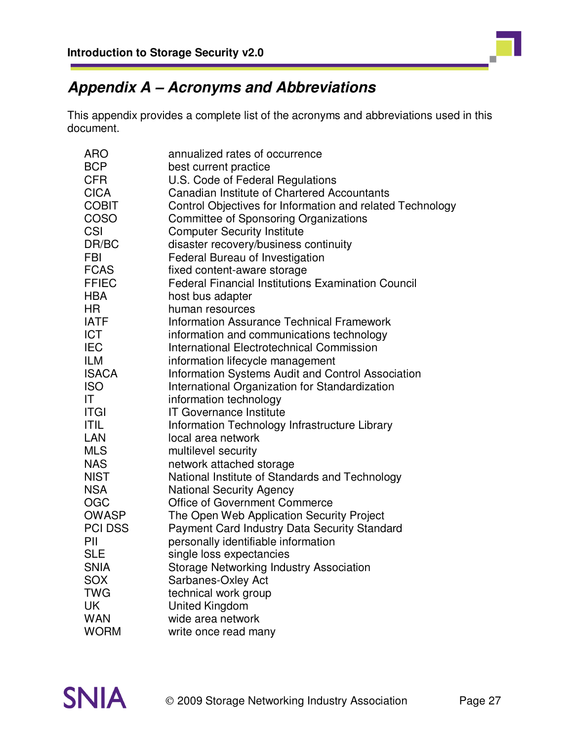

# **Appendix A – Acronyms and Abbreviations**

This appendix provides a complete list of the acronyms and abbreviations used in this document.

| <b>ARO</b>     | annualized rates of occurrence                            |
|----------------|-----------------------------------------------------------|
| <b>BCP</b>     | best current practice                                     |
| <b>CFR</b>     | U.S. Code of Federal Regulations                          |
| <b>CICA</b>    | Canadian Institute of Chartered Accountants               |
| <b>COBIT</b>   | Control Objectives for Information and related Technology |
| COSO           | Committee of Sponsoring Organizations                     |
| CSI            | <b>Computer Security Institute</b>                        |
| DR/BC          | disaster recovery/business continuity                     |
| <b>FBI</b>     | Federal Bureau of Investigation                           |
| <b>FCAS</b>    | fixed content-aware storage                               |
| <b>FFIEC</b>   | <b>Federal Financial Institutions Examination Council</b> |
| <b>HBA</b>     | host bus adapter                                          |
| <b>HR</b>      | human resources                                           |
| <b>IATF</b>    | <b>Information Assurance Technical Framework</b>          |
| <b>ICT</b>     | information and communications technology                 |
| <b>IEC</b>     | International Electrotechnical Commission                 |
| <b>ILM</b>     | information lifecycle management                          |
| <b>ISACA</b>   | Information Systems Audit and Control Association         |
| <b>ISO</b>     | International Organization for Standardization            |
| IT.            | information technology                                    |
| <b>ITGI</b>    | <b>IT Governance Institute</b>                            |
| <b>ITIL</b>    | Information Technology Infrastructure Library             |
| <b>LAN</b>     | local area network                                        |
| <b>MLS</b>     | multilevel security                                       |
| <b>NAS</b>     | network attached storage                                  |
| <b>NIST</b>    | National Institute of Standards and Technology            |
| <b>NSA</b>     | <b>National Security Agency</b>                           |
| <b>OGC</b>     | <b>Office of Government Commerce</b>                      |
| <b>OWASP</b>   | The Open Web Application Security Project                 |
| <b>PCI DSS</b> | Payment Card Industry Data Security Standard              |
| PII            | personally identifiable information                       |
| <b>SLE</b>     | single loss expectancies                                  |
| <b>SNIA</b>    | Storage Networking Industry Association                   |
| <b>SOX</b>     | Sarbanes-Oxley Act                                        |
| <b>TWG</b>     | technical work group                                      |
| <b>UK</b>      | <b>United Kingdom</b>                                     |
| <b>WAN</b>     | wide area network                                         |
| <b>WORM</b>    | write once read many                                      |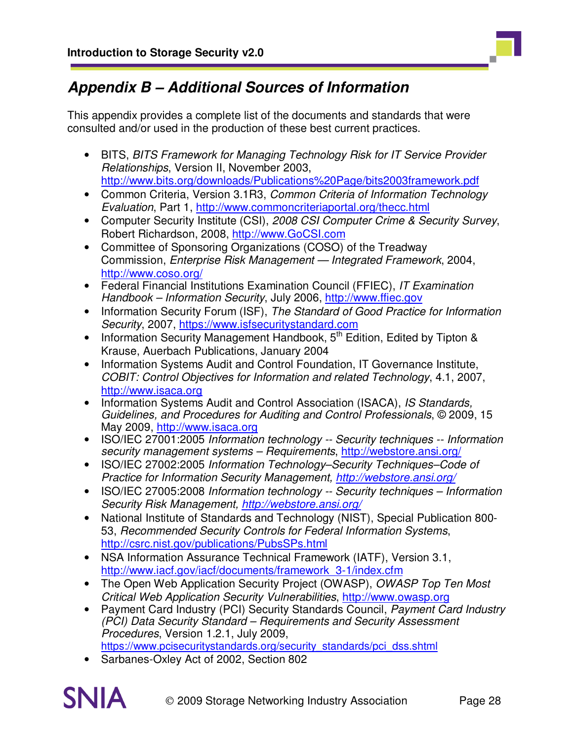

# **Appendix B – Additional Sources of Information**

This appendix provides a complete list of the documents and standards that were consulted and/or used in the production of these best current practices.

- BITS, BITS Framework for Managing Technology Risk for IT Service Provider Relationships, Version II, November 2003, http://www.bits.org/downloads/Publications%20Page/bits2003framework.pdf
- Common Criteria, Version 3.1R3, Common Criteria of Information Technology Evaluation, Part 1, http://www.commoncriteriaportal.org/thecc.html
- Computer Security Institute (CSI), 2008 CSI Computer Crime & Security Survey, Robert Richardson, 2008, http://www.GoCSI.com
- Committee of Sponsoring Organizations (COSO) of the Treadway Commission, Enterprise Risk Management — Integrated Framework, 2004, http://www.coso.org/
- Federal Financial Institutions Examination Council (FFIEC), IT Examination Handbook – Information Security, July 2006, http://www.ffiec.gov
- Information Security Forum (ISF), The Standard of Good Practice for Information Security, 2007, https://www.isfsecuritystandard.com
- Information Security Management Handbook, 5<sup>th</sup> Edition, Edited by Tipton & Krause, Auerbach Publications, January 2004
- Information Systems Audit and Control Foundation, IT Governance Institute, COBIT: Control Objectives for Information and related Technology, 4.1, 2007, http://www.isaca.org
- Information Systems Audit and Control Association (ISACA), IS Standards, Guidelines, and Procedures for Auditing and Control Professionals, © 2009, 15 May 2009, http://www.isaca.org
- ISO/IEC 27001:2005 Information technology -- Security techniques -- Information security management systems - Requirements, http://webstore.ansi.org/
- ISO/IEC 27002:2005 Information Technology–Security Techniques–Code of Practice for Information Security Management, http://webstore.ansi.org/
- ISO/IEC 27005:2008 Information technology -- Security techniques Information Security Risk Management, http://webstore.ansi.org/
- National Institute of Standards and Technology (NIST), Special Publication 800- 53, Recommended Security Controls for Federal Information Systems, http://csrc.nist.gov/publications/PubsSPs.html
- NSA Information Assurance Technical Framework (IATF), Version 3.1, http://www.iacf.gov/iacf/documents/framework\_3-1/index.cfm
- The Open Web Application Security Project (OWASP), OWASP Top Ten Most Critical Web Application Security Vulnerabilities, http://www.owasp.org
- Payment Card Industry (PCI) Security Standards Council, Payment Card Industry (PCI) Data Security Standard – Requirements and Security Assessment Procedures, Version 1.2.1, July 2009, https://www.pcisecuritystandards.org/security\_standards/pci\_dss.shtml
- Sarbanes-Oxley Act of 2002, Section 802

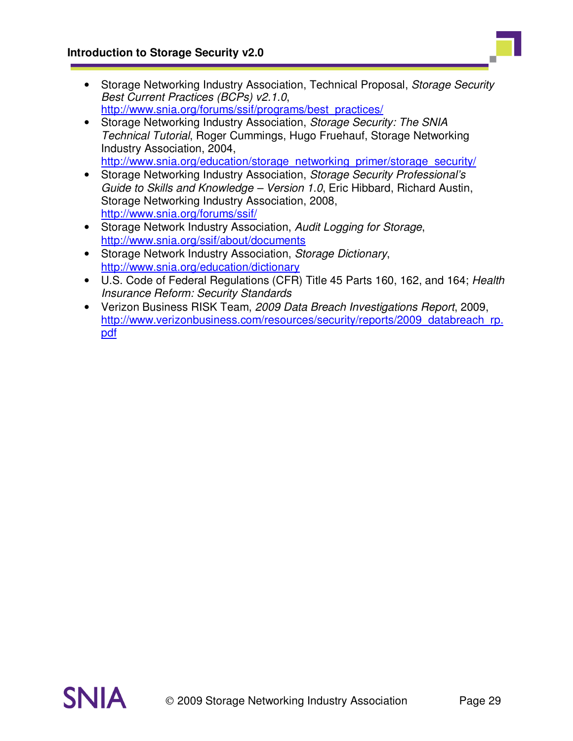

- Storage Networking Industry Association, Technical Proposal, Storage Security Best Current Practices (BCPs) v2.1.0, http://www.snia.org/forums/ssif/programs/best\_practices/
- Storage Networking Industry Association, Storage Security: The SNIA Technical Tutorial, Roger Cummings, Hugo Fruehauf, Storage Networking Industry Association, 2004, http://www.snia.org/education/storage\_networking\_primer/storage\_security/
- Storage Networking Industry Association, Storage Security Professional's Guide to Skills and Knowledge – Version 1.0, Eric Hibbard, Richard Austin, Storage Networking Industry Association, 2008, http://www.snia.org/forums/ssif/
- Storage Network Industry Association, Audit Logging for Storage, http://www.snia.org/ssif/about/documents
- Storage Network Industry Association, Storage Dictionary, http://www.snia.org/education/dictionary
- U.S. Code of Federal Regulations (CFR) Title 45 Parts 160, 162, and 164; Health Insurance Reform: Security Standards
- Verizon Business RISK Team, 2009 Data Breach Investigations Report, 2009, http://www.verizonbusiness.com/resources/security/reports/2009\_databreach\_rp. pdf

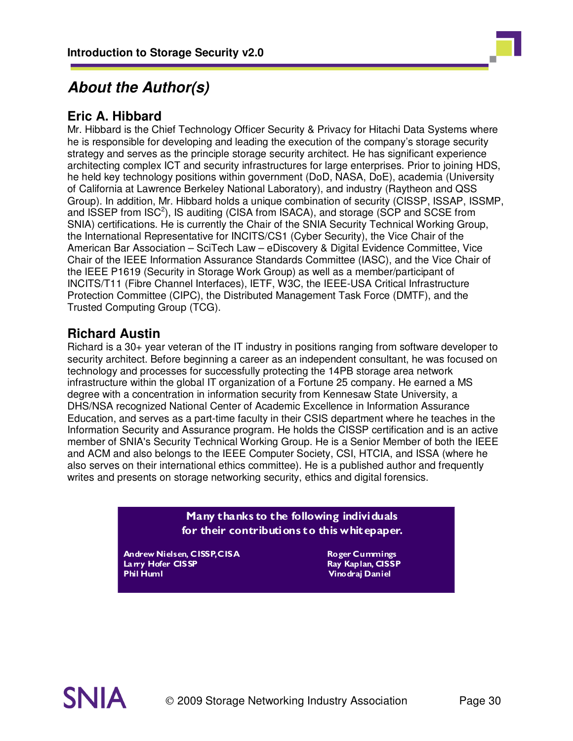

# **About the Author(s)**

### **Eric A. Hibbard**

Mr. Hibbard is the Chief Technology Officer Security & Privacy for Hitachi Data Systems where he is responsible for developing and leading the execution of the company's storage security strategy and serves as the principle storage security architect. He has significant experience architecting complex ICT and security infrastructures for large enterprises. Prior to joining HDS, he held key technology positions within government (DoD, NASA, DoE), academia (University of California at Lawrence Berkeley National Laboratory), and industry (Raytheon and QSS Group). In addition, Mr. Hibbard holds a unique combination of security (CISSP, ISSAP, ISSMP, and  $ISSEP$  from  $ISC^2$ ), IS auditing (CISA from ISACA), and storage (SCP and SCSE from SNIA) certifications. He is currently the Chair of the SNIA Security Technical Working Group, the International Representative for INCITS/CS1 (Cyber Security), the Vice Chair of the American Bar Association – SciTech Law – eDiscovery & Digital Evidence Committee, Vice Chair of the IEEE Information Assurance Standards Committee (IASC), and the Vice Chair of the IEEE P1619 (Security in Storage Work Group) as well as a member/participant of INCITS/T11 (Fibre Channel Interfaces), IETF, W3C, the IEEE-USA Critical Infrastructure Protection Committee (CIPC), the Distributed Management Task Force (DMTF), and the Trusted Computing Group (TCG).

## **Richard Austin**

Richard is a 30+ year veteran of the IT industry in positions ranging from software developer to security architect. Before beginning a career as an independent consultant, he was focused on technology and processes for successfully protecting the 14PB storage area network infrastructure within the global IT organization of a Fortune 25 company. He earned a MS degree with a concentration in information security from Kennesaw State University, a DHS/NSA recognized National Center of Academic Excellence in Information Assurance Education, and serves as a part-time faculty in their CSIS department where he teaches in the Information Security and Assurance program. He holds the CISSP certification and is an active member of SNIA's Security Technical Working Group. He is a Senior Member of both the IEEE and ACM and also belongs to the IEEE Computer Society, CSI, HTCIA, and ISSA (where he also serves on their international ethics committee). He is a published author and frequently writes and presents on storage networking security, ethics and digital forensics.

> **Many thanks to the following individuals for their contributions to this whitepaper.**

Andrew Nielsen, CISSP, CISA Roger Cummings **La rry Hofer CISSP Ray Kaplan, CISSP Phil Huml Vinodraj Daniel**